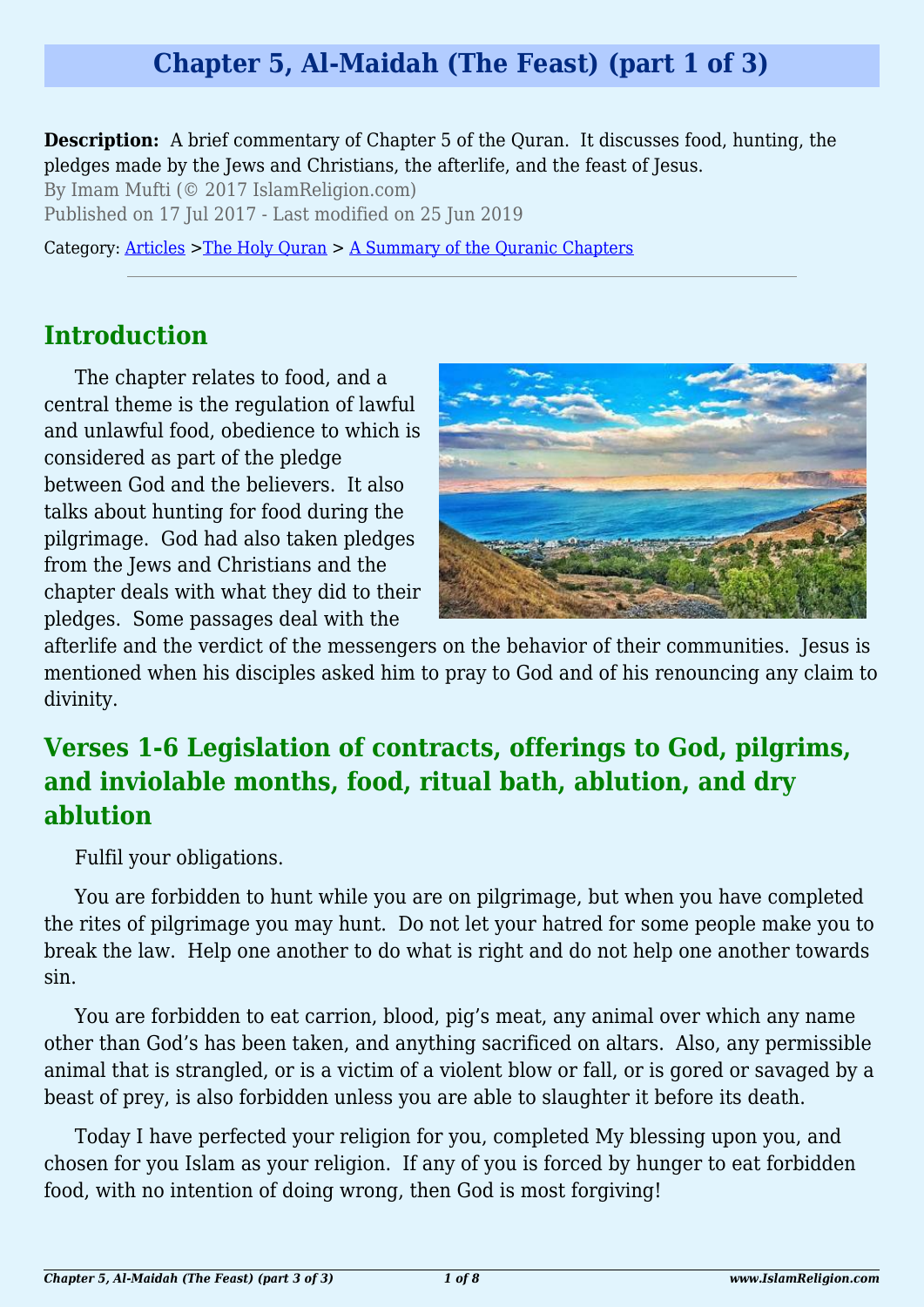### **Chapter 5, Al-Maidah (The Feast) (part 1 of 3)**

**Description:** A brief commentary of Chapter 5 of the Quran. It discusses food, hunting, the pledges made by the Jews and Christians, the afterlife, and the feast of Jesus.

By Imam Mufti (© 2017 IslamReligion.com)

Published on 17 Jul 2017 - Last modified on 25 Jun 2019

Category: [Articles](http://www.islamreligion.com/articles/) >[The Holy Quran](http://www.islamreligion.com/category/75/) > [A Summary of the Quranic Chapters](http://www.islamreligion.com/category/77/)

#### **Introduction**

The chapter relates to food, and a central theme is the regulation of lawful and unlawful food, obedience to which is considered as part of the pledge between God and the believers. It also talks about hunting for food during the pilgrimage. God had also taken pledges from the Jews and Christians and the chapter deals with what they did to their pledges. Some passages deal with the



afterlife and the verdict of the messengers on the behavior of their communities. Jesus is mentioned when his disciples asked him to pray to God and of his renouncing any claim to divinity.

### **Verses 1-6 Legislation of contracts, offerings to God, pilgrims, and inviolable months, food, ritual bath, ablution, and dry ablution**

Fulfil your obligations.

You are forbidden to hunt while you are on pilgrimage, but when you have completed the rites of pilgrimage you may hunt. Do not let your hatred for some people make you to break the law. Help one another to do what is right and do not help one another towards sin.

You are forbidden to eat carrion, blood, pig's meat, any animal over which any name other than God's has been taken, and anything sacrificed on altars. Also, any permissible animal that is strangled, or is a victim of a violent blow or fall, or is gored or savaged by a beast of prey, is also forbidden unless you are able to slaughter it before its death.

Today I have perfected your religion for you, completed My blessing upon you, and chosen for you Islam as your religion. If any of you is forced by hunger to eat forbidden food, with no intention of doing wrong, then God is most forgiving!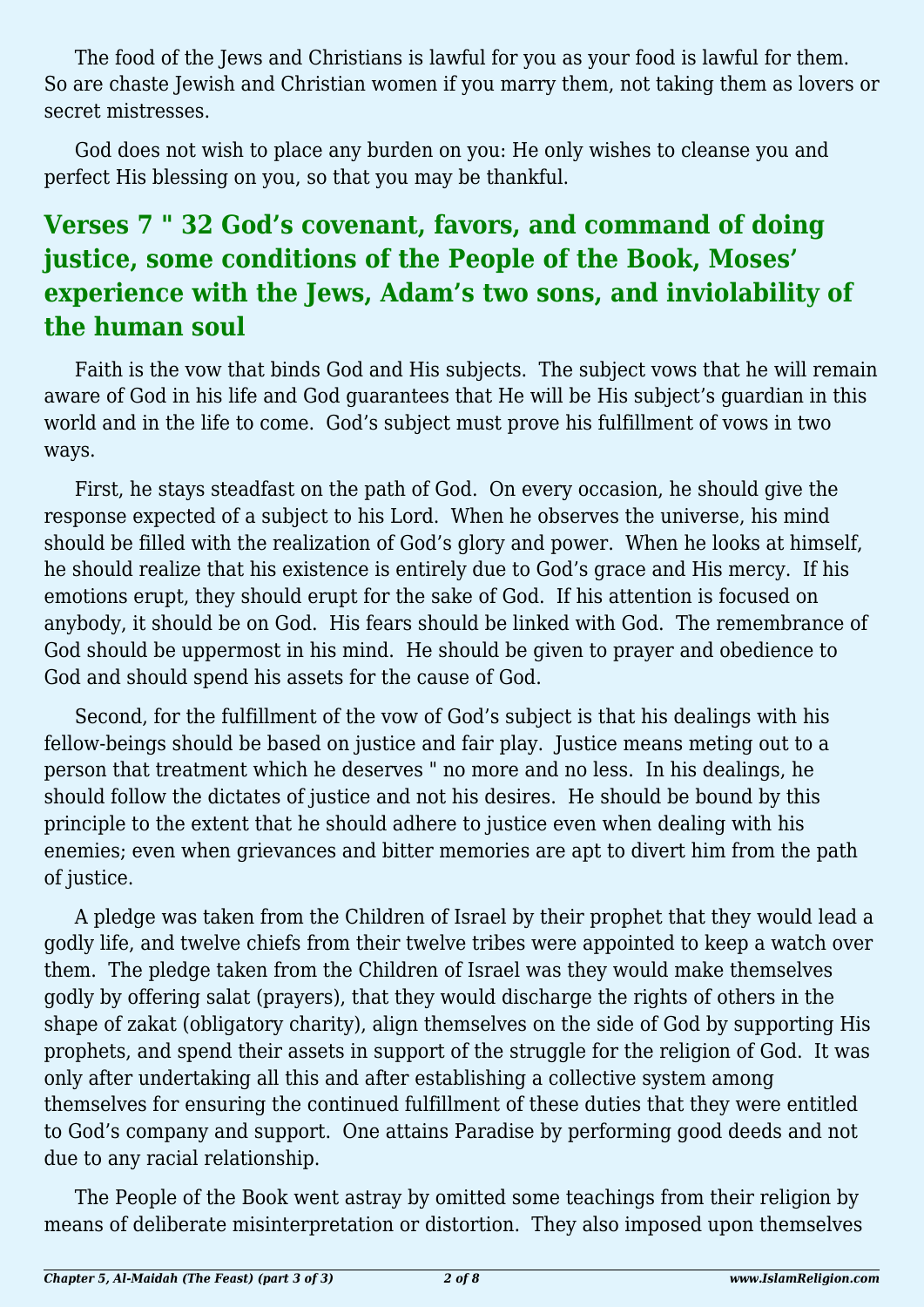The food of the Jews and Christians is lawful for you as your food is lawful for them. So are chaste Jewish and Christian women if you marry them, not taking them as lovers or secret mistresses.

God does not wish to place any burden on you: He only wishes to cleanse you and perfect His blessing on you, so that you may be thankful.

### **Verses 7 " 32 God's covenant, favors, and command of doing justice, some conditions of the People of the Book, Moses' experience with the Jews, Adam's two sons, and inviolability of the human soul**

Faith is the vow that binds God and His subjects. The subject vows that he will remain aware of God in his life and God guarantees that He will be His subject's guardian in this world and in the life to come. God's subject must prove his fulfillment of vows in two ways.

First, he stays steadfast on the path of God. On every occasion, he should give the response expected of a subject to his Lord. When he observes the universe, his mind should be filled with the realization of God's glory and power. When he looks at himself, he should realize that his existence is entirely due to God's grace and His mercy. If his emotions erupt, they should erupt for the sake of God. If his attention is focused on anybody, it should be on God. His fears should be linked with God. The remembrance of God should be uppermost in his mind. He should be given to prayer and obedience to God and should spend his assets for the cause of God.

Second, for the fulfillment of the vow of God's subject is that his dealings with his fellow-beings should be based on justice and fair play. Justice means meting out to a person that treatment which he deserves " no more and no less. In his dealings, he should follow the dictates of justice and not his desires. He should be bound by this principle to the extent that he should adhere to justice even when dealing with his enemies; even when grievances and bitter memories are apt to divert him from the path of justice.

A pledge was taken from the Children of Israel by their prophet that they would lead a godly life, and twelve chiefs from their twelve tribes were appointed to keep a watch over them. The pledge taken from the Children of Israel was they would make themselves godly by offering salat (prayers), that they would discharge the rights of others in the shape of zakat (obligatory charity), align themselves on the side of God by supporting His prophets, and spend their assets in support of the struggle for the religion of God. It was only after undertaking all this and after establishing a collective system among themselves for ensuring the continued fulfillment of these duties that they were entitled to God's company and support. One attains Paradise by performing good deeds and not due to any racial relationship.

The People of the Book went astray by omitted some teachings from their religion by means of deliberate misinterpretation or distortion. They also imposed upon themselves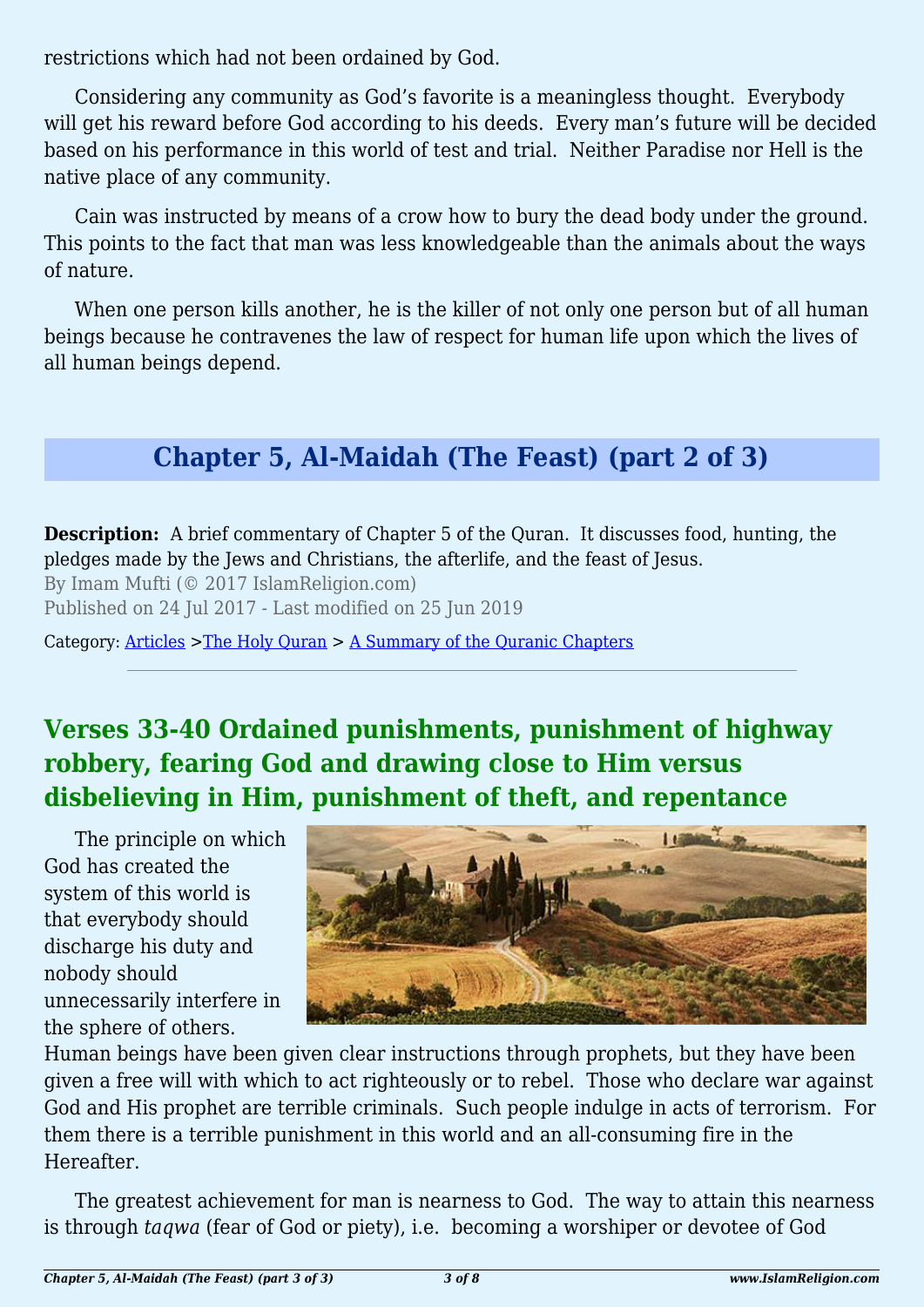restrictions which had not been ordained by God.

Considering any community as God's favorite is a meaningless thought. Everybody will get his reward before God according to his deeds. Every man's future will be decided based on his performance in this world of test and trial. Neither Paradise nor Hell is the native place of any community.

Cain was instructed by means of a crow how to bury the dead body under the ground. This points to the fact that man was less knowledgeable than the animals about the ways of nature.

When one person kills another, he is the killer of not only one person but of all human beings because he contravenes the law of respect for human life upon which the lives of all human beings depend.

# **Chapter 5, Al-Maidah (The Feast) (part 2 of 3)**

**Description:** A brief commentary of Chapter 5 of the Quran. It discusses food, hunting, the pledges made by the Jews and Christians, the afterlife, and the feast of Jesus.

By Imam Mufti (© 2017 IslamReligion.com)

Published on 24 Jul 2017 - Last modified on 25 Jun 2019

Category: [Articles](http://www.islamreligion.com/articles/) >[The Holy Quran](http://www.islamreligion.com/category/75/) > [A Summary of the Quranic Chapters](http://www.islamreligion.com/category/77/)

# **Verses 33-40 Ordained punishments, punishment of highway robbery, fearing God and drawing close to Him versus disbelieving in Him, punishment of theft, and repentance**

The principle on which God has created the system of this world is that everybody should discharge his duty and nobody should unnecessarily interfere in the sphere of others.



Human beings have been given clear instructions through prophets, but they have been given a free will with which to act righteously or to rebel. Those who declare war against God and His prophet are terrible criminals. Such people indulge in acts of terrorism. For them there is a terrible punishment in this world and an all-consuming fire in the Hereafter.

The greatest achievement for man is nearness to God. The way to attain this nearness is through *taqwa* (fear of God or piety), i.e. becoming a worshiper or devotee of God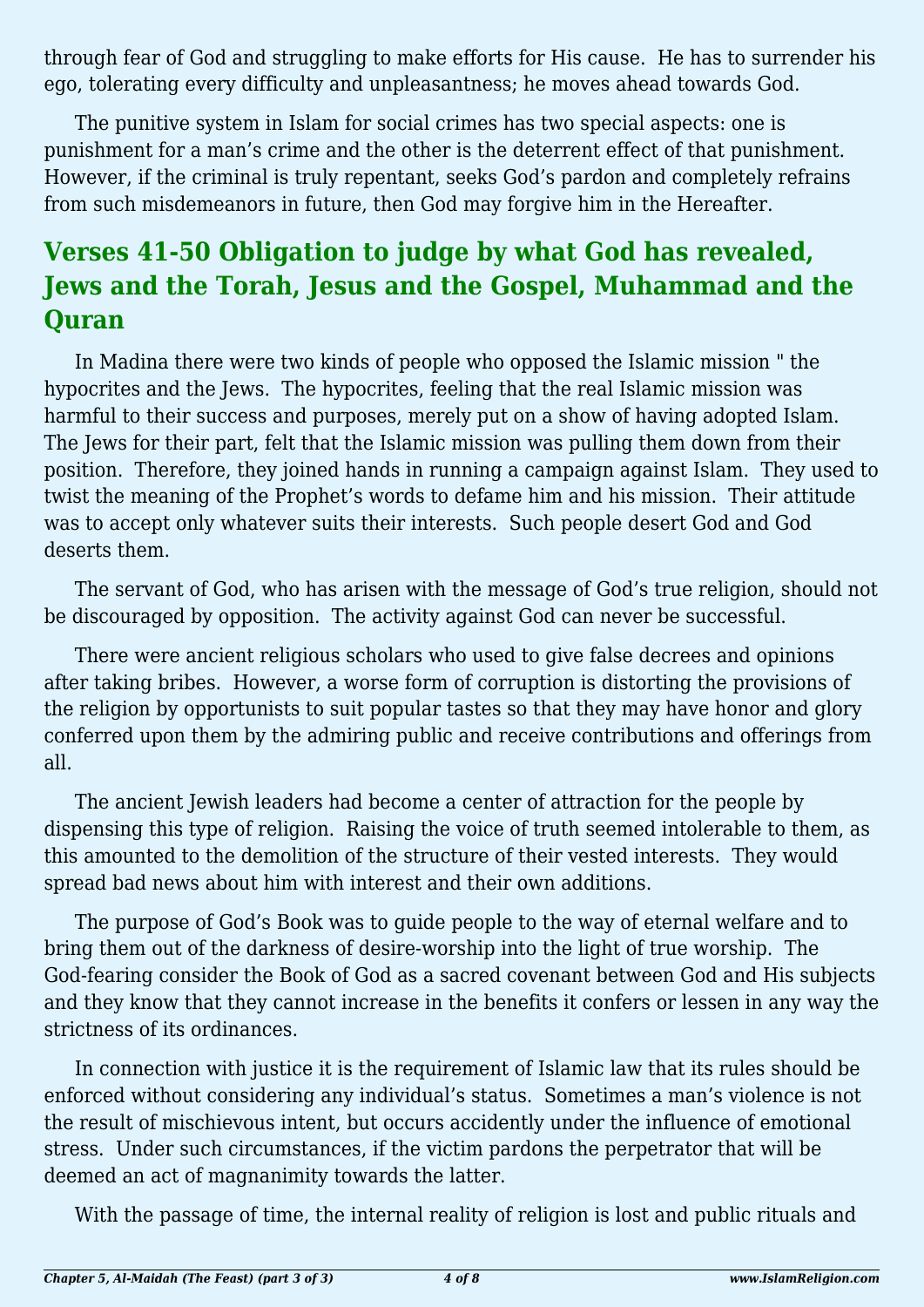through fear of God and struggling to make efforts for His cause. He has to surrender his ego, tolerating every difficulty and unpleasantness; he moves ahead towards God.

The punitive system in Islam for social crimes has two special aspects: one is punishment for a man's crime and the other is the deterrent effect of that punishment. However, if the criminal is truly repentant, seeks God's pardon and completely refrains from such misdemeanors in future, then God may forgive him in the Hereafter.

# **Verses 41-50 Obligation to judge by what God has revealed, Jews and the Torah, Jesus and the Gospel, Muhammad and the Quran**

In Madina there were two kinds of people who opposed the Islamic mission " the hypocrites and the Jews. The hypocrites, feeling that the real Islamic mission was harmful to their success and purposes, merely put on a show of having adopted Islam. The Jews for their part, felt that the Islamic mission was pulling them down from their position. Therefore, they joined hands in running a campaign against Islam. They used to twist the meaning of the Prophet's words to defame him and his mission. Their attitude was to accept only whatever suits their interests. Such people desert God and God deserts them.

The servant of God, who has arisen with the message of God's true religion, should not be discouraged by opposition. The activity against God can never be successful.

There were ancient religious scholars who used to give false decrees and opinions after taking bribes. However, a worse form of corruption is distorting the provisions of the religion by opportunists to suit popular tastes so that they may have honor and glory conferred upon them by the admiring public and receive contributions and offerings from all.

The ancient Jewish leaders had become a center of attraction for the people by dispensing this type of religion. Raising the voice of truth seemed intolerable to them, as this amounted to the demolition of the structure of their vested interests. They would spread bad news about him with interest and their own additions.

The purpose of God's Book was to guide people to the way of eternal welfare and to bring them out of the darkness of desire-worship into the light of true worship. The God-fearing consider the Book of God as a sacred covenant between God and His subjects and they know that they cannot increase in the benefits it confers or lessen in any way the strictness of its ordinances.

In connection with justice it is the requirement of Islamic law that its rules should be enforced without considering any individual's status. Sometimes a man's violence is not the result of mischievous intent, but occurs accidently under the influence of emotional stress. Under such circumstances, if the victim pardons the perpetrator that will be deemed an act of magnanimity towards the latter.

With the passage of time, the internal reality of religion is lost and public rituals and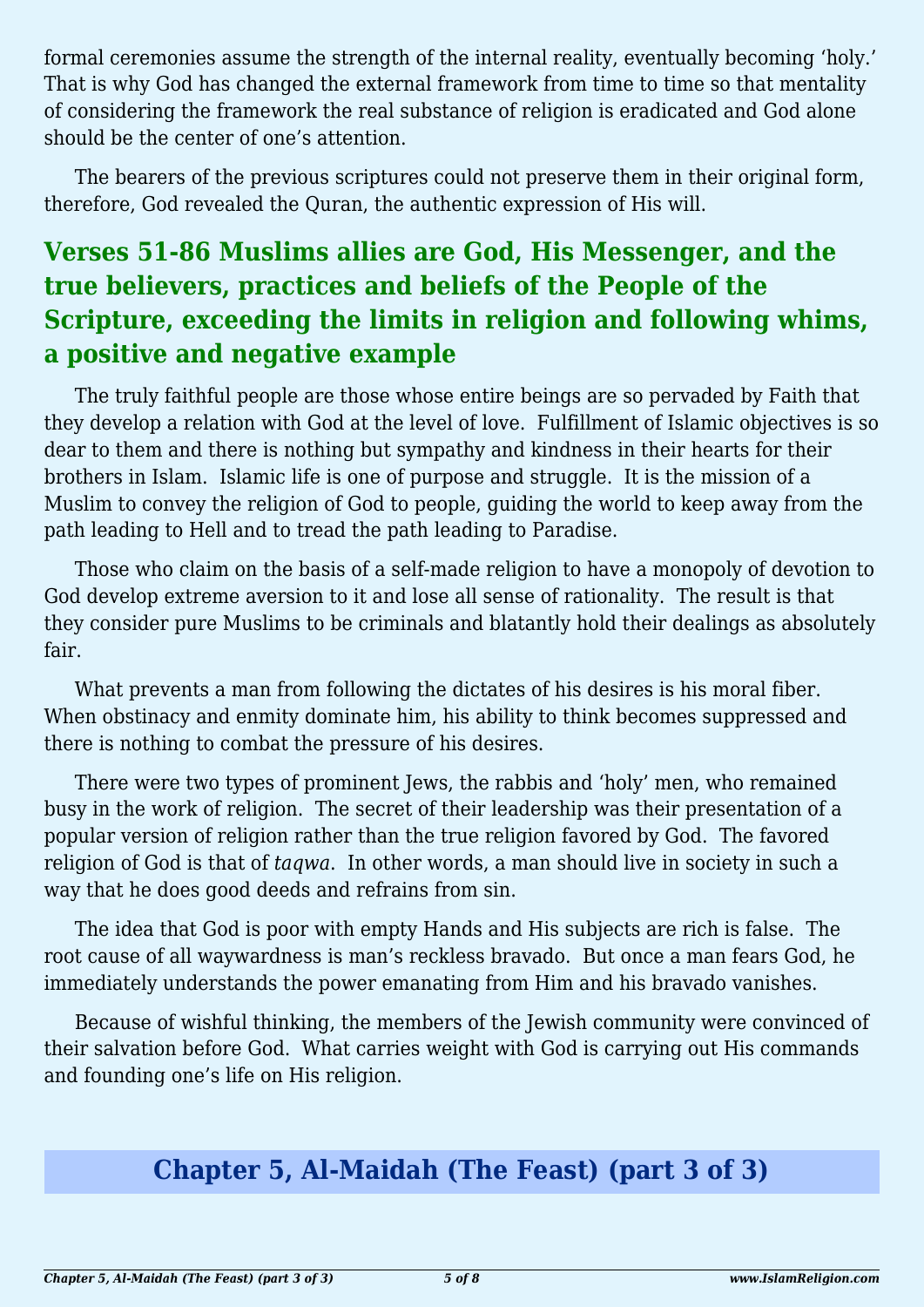formal ceremonies assume the strength of the internal reality, eventually becoming 'holy.' That is why God has changed the external framework from time to time so that mentality of considering the framework the real substance of religion is eradicated and God alone should be the center of one's attention.

The bearers of the previous scriptures could not preserve them in their original form, therefore, God revealed the Quran, the authentic expression of His will.

### **Verses 51-86 Muslims allies are God, His Messenger, and the true believers, practices and beliefs of the People of the Scripture, exceeding the limits in religion and following whims, a positive and negative example**

The truly faithful people are those whose entire beings are so pervaded by Faith that they develop a relation with God at the level of love. Fulfillment of Islamic objectives is so dear to them and there is nothing but sympathy and kindness in their hearts for their brothers in Islam. Islamic life is one of purpose and struggle. It is the mission of a Muslim to convey the religion of God to people, guiding the world to keep away from the path leading to Hell and to tread the path leading to Paradise.

Those who claim on the basis of a self-made religion to have a monopoly of devotion to God develop extreme aversion to it and lose all sense of rationality. The result is that they consider pure Muslims to be criminals and blatantly hold their dealings as absolutely fair.

What prevents a man from following the dictates of his desires is his moral fiber. When obstinacy and enmity dominate him, his ability to think becomes suppressed and there is nothing to combat the pressure of his desires.

There were two types of prominent Jews, the rabbis and 'holy' men, who remained busy in the work of religion. The secret of their leadership was their presentation of a popular version of religion rather than the true religion favored by God. The favored religion of God is that of *taqwa*. In other words, a man should live in society in such a way that he does good deeds and refrains from sin.

The idea that God is poor with empty Hands and His subjects are rich is false. The root cause of all waywardness is man's reckless bravado. But once a man fears God, he immediately understands the power emanating from Him and his bravado vanishes.

Because of wishful thinking, the members of the Jewish community were convinced of their salvation before God. What carries weight with God is carrying out His commands and founding one's life on His religion.

### **Chapter 5, Al-Maidah (The Feast) (part 3 of 3)**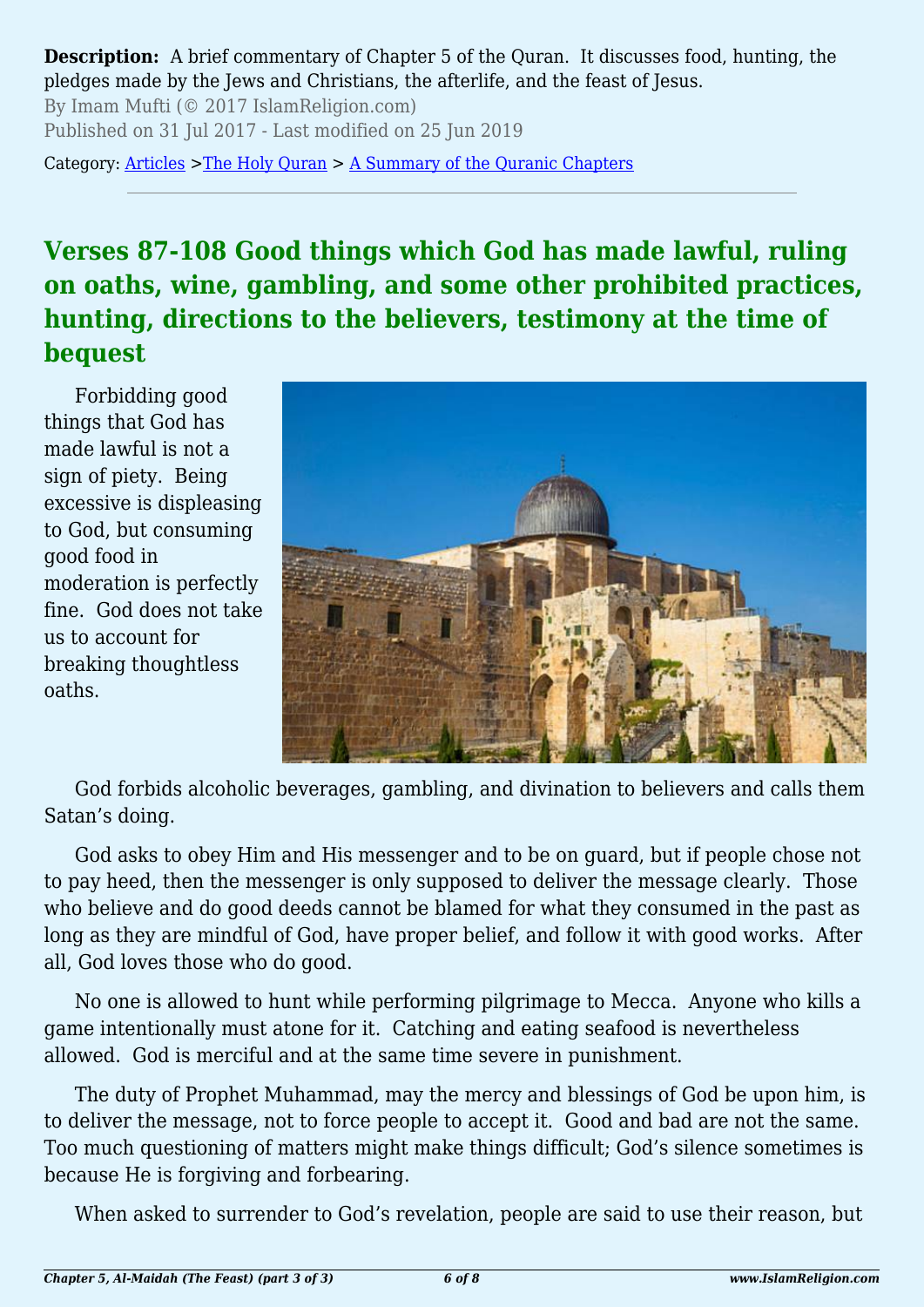**Description:** A brief commentary of Chapter 5 of the Quran. It discusses food, hunting, the pledges made by the Jews and Christians, the afterlife, and the feast of Jesus.

By Imam Mufti (© 2017 IslamReligion.com) Published on 31 Jul 2017 - Last modified on 25 Jun 2019

Category: [Articles](http://www.islamreligion.com/articles/) >[The Holy Quran](http://www.islamreligion.com/category/75/) > [A Summary of the Quranic Chapters](http://www.islamreligion.com/category/77/)

### **Verses 87-108 Good things which God has made lawful, ruling on oaths, wine, gambling, and some other prohibited practices, hunting, directions to the believers, testimony at the time of bequest**

Forbidding good things that God has made lawful is not a sign of piety. Being excessive is displeasing to God, but consuming good food in moderation is perfectly fine. God does not take us to account for breaking thoughtless oaths.



God forbids alcoholic beverages, gambling, and divination to believers and calls them Satan's doing.

God asks to obey Him and His messenger and to be on guard, but if people chose not to pay heed, then the messenger is only supposed to deliver the message clearly. Those who believe and do good deeds cannot be blamed for what they consumed in the past as long as they are mindful of God, have proper belief, and follow it with good works. After all, God loves those who do good.

No one is allowed to hunt while performing pilgrimage to Mecca. Anyone who kills a game intentionally must atone for it. Catching and eating seafood is nevertheless allowed. God is merciful and at the same time severe in punishment.

The duty of Prophet Muhammad, may the mercy and blessings of God be upon him, is to deliver the message, not to force people to accept it. Good and bad are not the same. Too much questioning of matters might make things difficult; God's silence sometimes is because He is forgiving and forbearing.

When asked to surrender to God's revelation, people are said to use their reason, but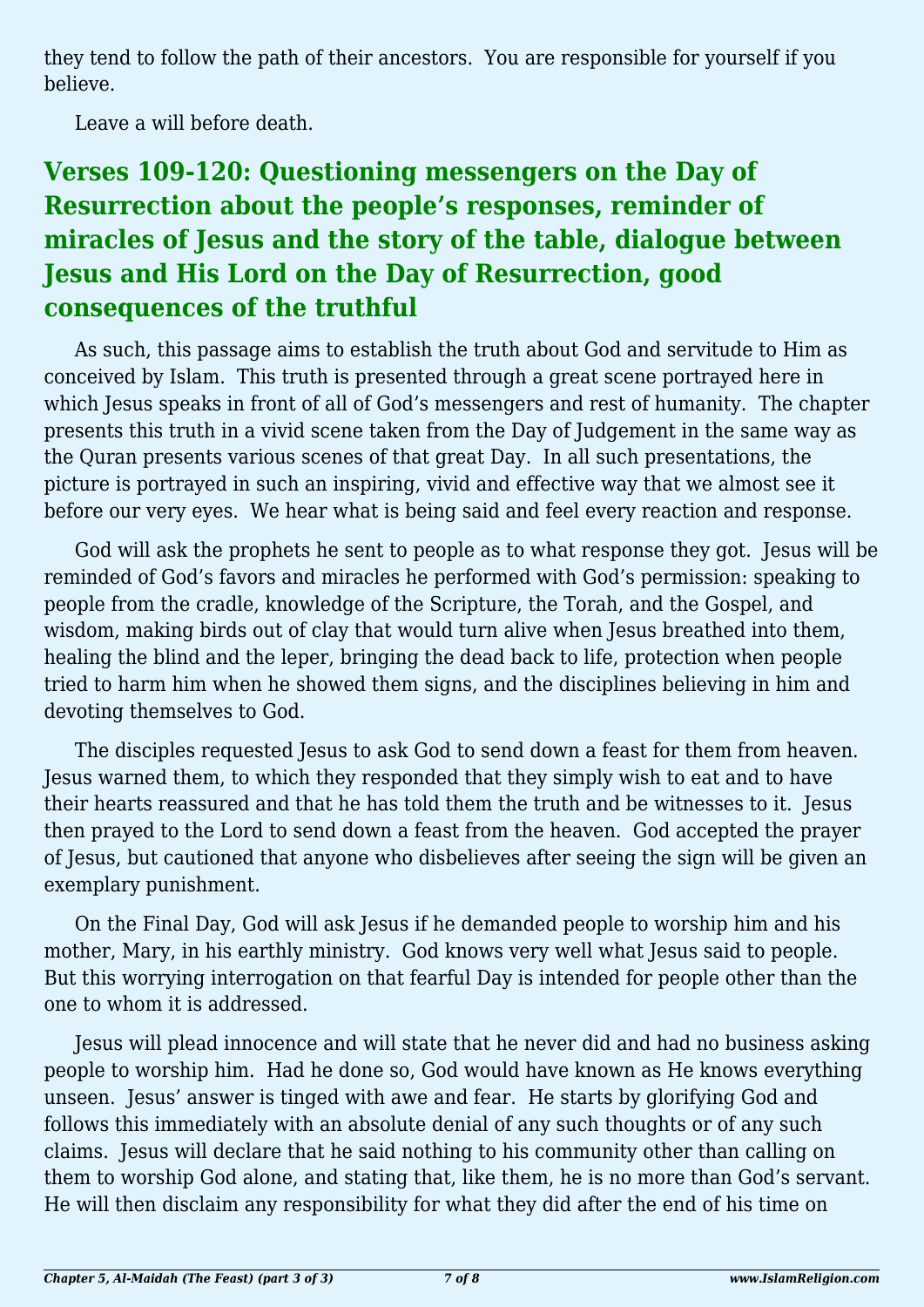they tend to follow the path of their ancestors. You are responsible for yourself if you believe.

Leave a will before death.

# **Verses 109-120: Questioning messengers on the Day of Resurrection about the people's responses, reminder of miracles of Jesus and the story of the table, dialogue between Jesus and His Lord on the Day of Resurrection, good consequences of the truthful**

As such, this passage aims to establish the truth about God and servitude to Him as conceived by Islam. This truth is presented through a great scene portrayed here in which Jesus speaks in front of all of God's messengers and rest of humanity. The chapter presents this truth in a vivid scene taken from the Day of Judgement in the same way as the Quran presents various scenes of that great Day. In all such presentations, the picture is portrayed in such an inspiring, vivid and effective way that we almost see it before our very eyes. We hear what is being said and feel every reaction and response.

God will ask the prophets he sent to people as to what response they got. Jesus will be reminded of God's favors and miracles he performed with God's permission: speaking to people from the cradle, knowledge of the Scripture, the Torah, and the Gospel, and wisdom, making birds out of clay that would turn alive when Jesus breathed into them, healing the blind and the leper, bringing the dead back to life, protection when people tried to harm him when he showed them signs, and the disciplines believing in him and devoting themselves to God.

The disciples requested Jesus to ask God to send down a feast for them from heaven. Jesus warned them, to which they responded that they simply wish to eat and to have their hearts reassured and that he has told them the truth and be witnesses to it. Jesus then prayed to the Lord to send down a feast from the heaven. God accepted the prayer of Jesus, but cautioned that anyone who disbelieves after seeing the sign will be given an exemplary punishment.

On the Final Day, God will ask Jesus if he demanded people to worship him and his mother, Mary, in his earthly ministry. God knows very well what Jesus said to people. But this worrying interrogation on that fearful Day is intended for people other than the one to whom it is addressed.

Jesus will plead innocence and will state that he never did and had no business asking people to worship him. Had he done so, God would have known as He knows everything unseen. Jesus' answer is tinged with awe and fear. He starts by glorifying God and follows this immediately with an absolute denial of any such thoughts or of any such claims. Jesus will declare that he said nothing to his community other than calling on them to worship God alone, and stating that, like them, he is no more than God's servant. He will then disclaim any responsibility for what they did after the end of his time on